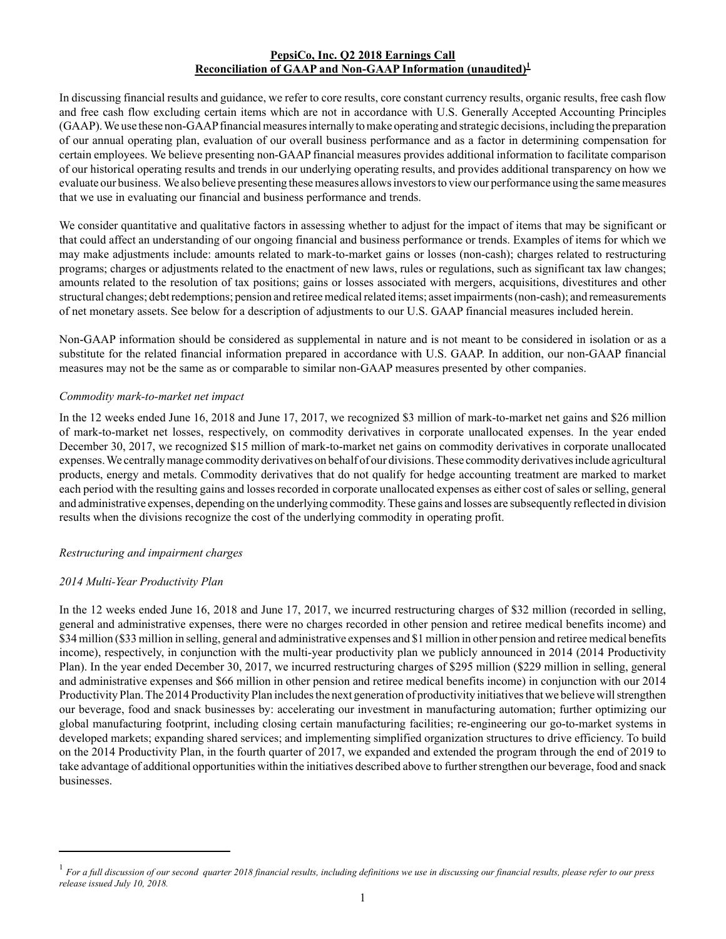### **PepsiCo, Inc. Q2 2018 Earnings Call Reconciliation of GAAP and Non-GAAP Information (unaudited)<sup>1</sup>**

In discussing financial results and guidance, we refer to core results, core constant currency results, organic results, free cash flow and free cash flow excluding certain items which are not in accordance with U.S. Generally Accepted Accounting Principles (GAAP). We use these non-GAAPfinancial measures internally to make operating and strategic decisions, including the preparation of our annual operating plan, evaluation of our overall business performance and as a factor in determining compensation for certain employees. We believe presenting non-GAAPfinancial measures provides additional information to facilitate comparison of our historical operating results and trends in our underlying operating results, and provides additional transparency on how we evaluate our business. We also believe presenting these measures allows investors to view our performance using the same measures that we use in evaluating our financial and business performance and trends.

We consider quantitative and qualitative factors in assessing whether to adjust for the impact of items that may be significant or that could affect an understanding of our ongoing financial and business performance or trends. Examples of items for which we may make adjustments include: amounts related to mark-to-market gains or losses (non-cash); charges related to restructuring programs; charges or adjustments related to the enactment of new laws, rules or regulations, such as significant tax law changes; amounts related to the resolution of tax positions; gains or losses associated with mergers, acquisitions, divestitures and other structural changes; debt redemptions; pension and retiree medical related items; asset impairments (non-cash); and remeasurements of net monetary assets. See below for a description of adjustments to our U.S. GAAP financial measures included herein.

Non-GAAP information should be considered as supplemental in nature and is not meant to be considered in isolation or as a substitute for the related financial information prepared in accordance with U.S. GAAP. In addition, our non-GAAP financial measures may not be the same as or comparable to similar non-GAAP measures presented by other companies.

## *Commodity mark-to-market net impact*

In the 12 weeks ended June 16, 2018 and June 17, 2017, we recognized \$3 million of mark-to-market net gains and \$26 million of mark-to-market net losses, respectively, on commodity derivatives in corporate unallocated expenses. In the year ended December 30, 2017, we recognized \$15 million of mark-to-market net gains on commodity derivatives in corporate unallocated expenses. We centrally manage commodity derivatives on behalf of our divisions. These commodity derivatives include agricultural products, energy and metals. Commodity derivatives that do not qualify for hedge accounting treatment are marked to market each period with the resulting gains and losses recorded in corporate unallocated expenses as either cost of sales or selling, general and administrative expenses, depending on the underlying commodity. These gains and losses are subsequently reflected in division results when the divisions recognize the cost of the underlying commodity in operating profit.

# *Restructuring and impairment charges*

# *2014 Multi-Year Productivity Plan*

In the 12 weeks ended June 16, 2018 and June 17, 2017, we incurred restructuring charges of \$32 million (recorded in selling, general and administrative expenses, there were no charges recorded in other pension and retiree medical benefits income) and \$34 million (\$33 million in selling, general and administrative expenses and \$1 million in other pension and retiree medical benefits income), respectively, in conjunction with the multi-year productivity plan we publicly announced in 2014 (2014 Productivity Plan). In the year ended December 30, 2017, we incurred restructuring charges of \$295 million (\$229 million in selling, general and administrative expenses and \$66 million in other pension and retiree medical benefits income) in conjunction with our 2014 Productivity Plan. The 2014 Productivity Plan includes the next generation of productivity initiatives that we believe will strengthen our beverage, food and snack businesses by: accelerating our investment in manufacturing automation; further optimizing our global manufacturing footprint, including closing certain manufacturing facilities; re-engineering our go-to-market systems in developed markets; expanding shared services; and implementing simplified organization structures to drive efficiency. To build on the 2014 Productivity Plan, in the fourth quarter of 2017, we expanded and extended the program through the end of 2019 to take advantage of additional opportunities within the initiatives described above to further strengthen our beverage, food and snack businesses.

<sup>1</sup> *For a full discussion of our second quarter 2018 financial results, including definitions we use in discussing our financial results, please refer to our press release issued July 10, 2018.*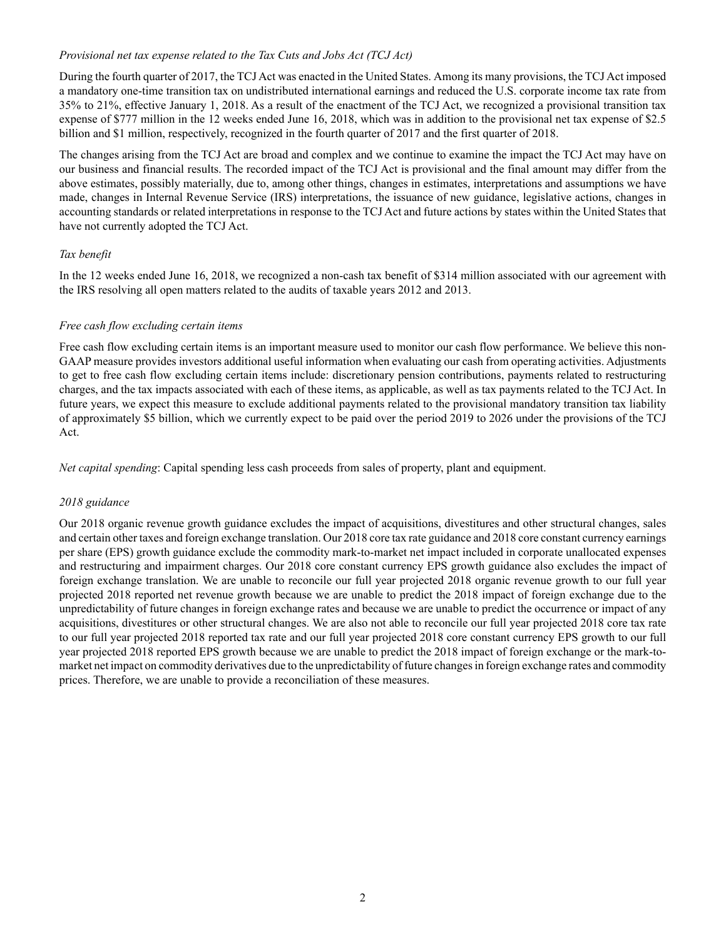### *Provisional net tax expense related to the Tax Cuts and Jobs Act (TCJ Act)*

During the fourth quarter of 2017, the TCJ Act was enacted in the United States. Among its many provisions, the TCJ Act imposed a mandatory one-time transition tax on undistributed international earnings and reduced the U.S. corporate income tax rate from 35% to 21%, effective January 1, 2018. As a result of the enactment of the TCJ Act, we recognized a provisional transition tax expense of \$777 million in the 12 weeks ended June 16, 2018, which was in addition to the provisional net tax expense of \$2.5 billion and \$1 million, respectively, recognized in the fourth quarter of 2017 and the first quarter of 2018.

The changes arising from the TCJ Act are broad and complex and we continue to examine the impact the TCJ Act may have on our business and financial results. The recorded impact of the TCJ Act is provisional and the final amount may differ from the above estimates, possibly materially, due to, among other things, changes in estimates, interpretations and assumptions we have made, changes in Internal Revenue Service (IRS) interpretations, the issuance of new guidance, legislative actions, changes in accounting standards or related interpretations in response to the TCJ Act and future actions by states within the United States that have not currently adopted the TCJ Act.

## *Tax benefit*

In the 12 weeks ended June 16, 2018, we recognized a non-cash tax benefit of \$314 million associated with our agreement with the IRS resolving all open matters related to the audits of taxable years 2012 and 2013.

## *Free cash flow excluding certain items*

Free cash flow excluding certain items is an important measure used to monitor our cash flow performance. We believe this non-GAAP measure provides investors additional useful information when evaluating our cash from operating activities. Adjustments to get to free cash flow excluding certain items include: discretionary pension contributions, payments related to restructuring charges, and the tax impacts associated with each of these items, as applicable, as well as tax payments related to the TCJ Act. In future years, we expect this measure to exclude additional payments related to the provisional mandatory transition tax liability of approximately \$5 billion, which we currently expect to be paid over the period 2019 to 2026 under the provisions of the TCJ Act.

*Net capital spending*: Capital spending less cash proceeds from sales of property, plant and equipment.

### *2018 guidance*

Our 2018 organic revenue growth guidance excludes the impact of acquisitions, divestitures and other structural changes, sales and certain other taxes and foreign exchange translation. Our 2018 core tax rate guidance and 2018 core constant currency earnings per share (EPS) growth guidance exclude the commodity mark-to-market net impact included in corporate unallocated expenses and restructuring and impairment charges. Our 2018 core constant currency EPS growth guidance also excludes the impact of foreign exchange translation. We are unable to reconcile our full year projected 2018 organic revenue growth to our full year projected 2018 reported net revenue growth because we are unable to predict the 2018 impact of foreign exchange due to the unpredictability of future changes in foreign exchange rates and because we are unable to predict the occurrence or impact of any acquisitions, divestitures or other structural changes. We are also not able to reconcile our full year projected 2018 core tax rate to our full year projected 2018 reported tax rate and our full year projected 2018 core constant currency EPS growth to our full year projected 2018 reported EPS growth because we are unable to predict the 2018 impact of foreign exchange or the mark-tomarket net impact on commodity derivatives due to the unpredictability of future changes in foreign exchange rates and commodity prices. Therefore, we are unable to provide a reconciliation of these measures.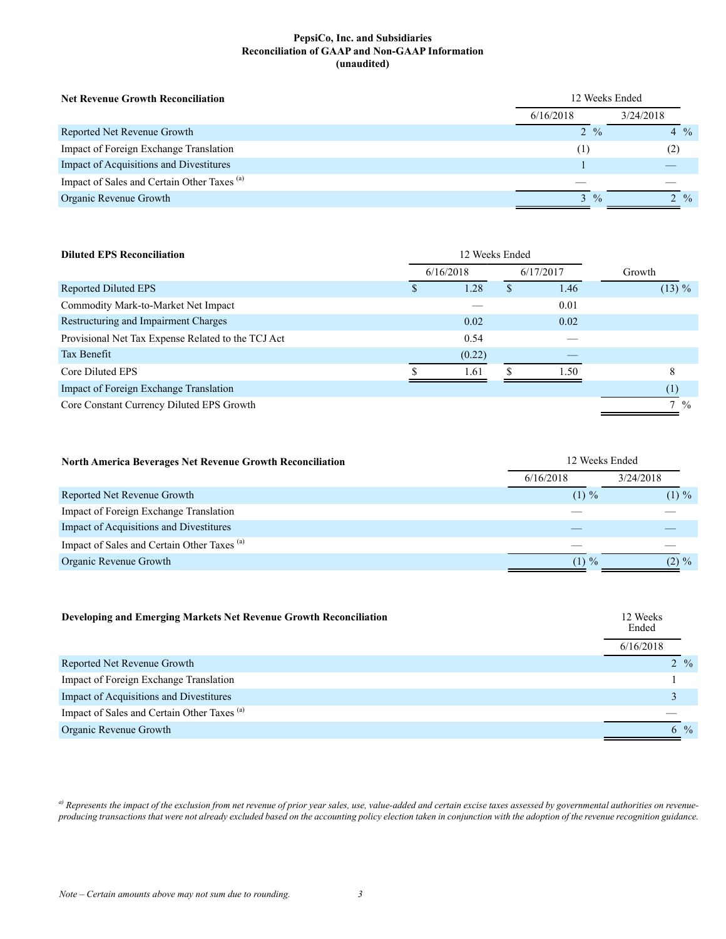#### **PepsiCo, Inc. and Subsidiaries Reconciliation of GAAP and Non-GAAP Information (unaudited)**

| <b>Net Revenue Growth Reconciliation</b>               | 12 Weeks Ended         |               |                 |  |
|--------------------------------------------------------|------------------------|---------------|-----------------|--|
|                                                        | 3/24/2018<br>6/16/2018 |               |                 |  |
| Reported Net Revenue Growth                            | $2 \frac{9}{6}$        |               | $4\frac{0}{0}$  |  |
| Impact of Foreign Exchange Translation                 | (1)                    |               | (2)             |  |
| Impact of Acquisitions and Divestitures                |                        |               |                 |  |
| Impact of Sales and Certain Other Taxes <sup>(a)</sup> |                        |               |                 |  |
| Organic Revenue Growth                                 | $\mathcal{L}$          | $\frac{0}{0}$ | $2 \frac{9}{6}$ |  |

| <b>Diluted EPS Reconciliation</b>                  | 12 Weeks Ended         |        |   |        |                |
|----------------------------------------------------|------------------------|--------|---|--------|----------------|
|                                                    | 6/17/2017<br>6/16/2018 |        |   | Growth |                |
| Reported Diluted EPS                               |                        | 1.28   | S | 1.46   | $(13) \%$      |
| Commodity Mark-to-Market Net Impact                |                        |        |   | 0.01   |                |
| Restructuring and Impairment Charges               |                        | 0.02   |   | 0.02   |                |
| Provisional Net Tax Expense Related to the TCJ Act |                        | 0.54   |   |        |                |
| Tax Benefit                                        |                        | (0.22) |   |        |                |
| Core Diluted EPS                                   |                        | 1.61   |   | 1.50   | 8              |
| Impact of Foreign Exchange Translation             |                        |        |   |        | (1)            |
| Core Constant Currency Diluted EPS Growth          |                        |        |   |        | $7\frac{9}{6}$ |

| North America Beverages Net Revenue Growth Reconciliation | 12 Weeks Ended |           |
|-----------------------------------------------------------|----------------|-----------|
|                                                           | 6/16/2018      | 3/24/2018 |
| Reported Net Revenue Growth                               | $(1) \%$       | $(1) \%$  |
| Impact of Foreign Exchange Translation                    |                |           |
| Impact of Acquisitions and Divestitures                   |                |           |
| Impact of Sales and Certain Other Taxes <sup>(a)</sup>    |                |           |
| Organic Revenue Growth                                    | $(1) \%$       | $(2) \%$  |

| Developing and Emerging Markets Net Revenue Growth Reconciliation | 12 Weeks<br>Ended |                 |  |
|-------------------------------------------------------------------|-------------------|-----------------|--|
|                                                                   | 6/16/2018         |                 |  |
| Reported Net Revenue Growth                                       |                   | $2 \frac{9}{6}$ |  |
| Impact of Foreign Exchange Translation                            |                   |                 |  |
| Impact of Acquisitions and Divestitures                           |                   |                 |  |
| Impact of Sales and Certain Other Taxes <sup>(a)</sup>            |                   |                 |  |
| Organic Revenue Growth                                            |                   | 6 %             |  |

<sup>a)</sup> Represents the impact of the exclusion from net revenue of prior year sales, use, value-added and certain excise taxes assessed by governmental authorities on revenue*producing transactions that were not already excluded based on the accounting policy election taken in conjunction with the adoption of the revenue recognition guidance.*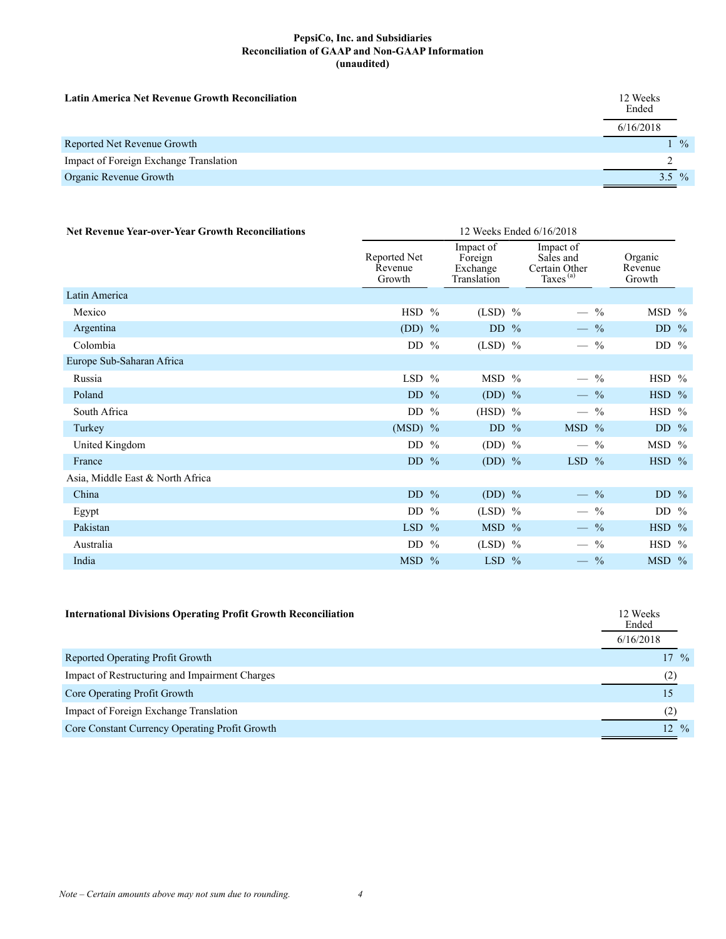#### **PepsiCo, Inc. and Subsidiaries Reconciliation of GAAP and Non-GAAP Information (unaudited)**

| <b>Latin America Net Revenue Growth Reconciliation</b> | 12 Weeks<br>Ended |               |
|--------------------------------------------------------|-------------------|---------------|
|                                                        | 6/16/2018         |               |
| Reported Net Revenue Growth                            |                   | $\frac{0}{0}$ |
| Impact of Foreign Exchange Translation                 |                   |               |
| Organic Revenue Growth                                 | $3.5\%$           |               |

| <b>Net Revenue Year-over-Year Growth Reconciliations</b> | 12 Weeks Ended 6/16/2018          |  |                                                 |                                                           |                                           |                              |         |  |
|----------------------------------------------------------|-----------------------------------|--|-------------------------------------------------|-----------------------------------------------------------|-------------------------------------------|------------------------------|---------|--|
|                                                          | Reported Net<br>Revenue<br>Growth |  | Impact of<br>Foreign<br>Exchange<br>Translation | Impact of<br>Sales and<br>Certain Other<br>Taxes $^{(a)}$ |                                           | Organic<br>Revenue<br>Growth |         |  |
| Latin America                                            |                                   |  |                                                 |                                                           |                                           |                              |         |  |
| Mexico                                                   | HSD %                             |  | $(LSD)$ %                                       |                                                           | $\frac{0}{0}$                             |                              | MSD %   |  |
| Argentina                                                | (DD) $%$                          |  | DD $%$                                          |                                                           | $-$ %                                     |                              | DD $\%$ |  |
| Colombia                                                 | DD $%$                            |  | $(LSD)$ %                                       |                                                           | $-$ %                                     |                              | DD $%$  |  |
| Europe Sub-Saharan Africa                                |                                   |  |                                                 |                                                           |                                           |                              |         |  |
| Russia                                                   | LSD $%$                           |  | MSD %                                           |                                                           | $-$ %                                     |                              | HSD %   |  |
| Poland                                                   | DD $%$                            |  | (DD) $%$                                        |                                                           | $-$ %                                     |                              | HSD %   |  |
| South Africa                                             | DD $%$                            |  | $(HSD)$ %                                       |                                                           | $-$ %                                     |                              | HSD %   |  |
| Turkey                                                   | $(MSD)$ %                         |  | DD $%$                                          |                                                           | MSD %                                     |                              | DD $\%$ |  |
| United Kingdom                                           | DD $%$                            |  | (DD) $%$                                        |                                                           | $-$ %                                     |                              | MSD %   |  |
| France                                                   | DD $%$                            |  | (DD) $%$                                        |                                                           | $LSD$ %                                   |                              | $HSD$ % |  |
| Asia, Middle East & North Africa                         |                                   |  |                                                 |                                                           |                                           |                              |         |  |
| China                                                    | DD $%$                            |  | (DD) $%$                                        |                                                           | $-$ %                                     |                              | DD $\%$ |  |
| Egypt                                                    | DD $%$                            |  | $(LSD)$ %                                       |                                                           | $\frac{0}{0}$<br>$\overline{\phantom{0}}$ |                              | DD $\%$ |  |
| Pakistan                                                 | LSD $%$                           |  | MSD %                                           |                                                           | $-$ %                                     |                              | HSD %   |  |
| Australia                                                | DD $%$                            |  | $(LSD)$ %                                       |                                                           | $-$ %                                     |                              | $HSD$ % |  |
| India                                                    | $MSD$ %                           |  | $LSD$ %                                         |                                                           | $-$ %                                     |                              | $MSD$ % |  |

| <b>International Divisions Operating Profit Growth Reconciliation</b> | 12 Weeks<br>Ended<br>6/16/2018 |                  |
|-----------------------------------------------------------------------|--------------------------------|------------------|
| Reported Operating Profit Growth                                      |                                | $17 \frac{9}{6}$ |
| Impact of Restructuring and Impairment Charges                        | (2)                            |                  |
| Core Operating Profit Growth                                          | 15                             |                  |
| Impact of Foreign Exchange Translation                                | (2)                            |                  |
| Core Constant Currency Operating Profit Growth                        |                                | $12 \frac{9}{6}$ |